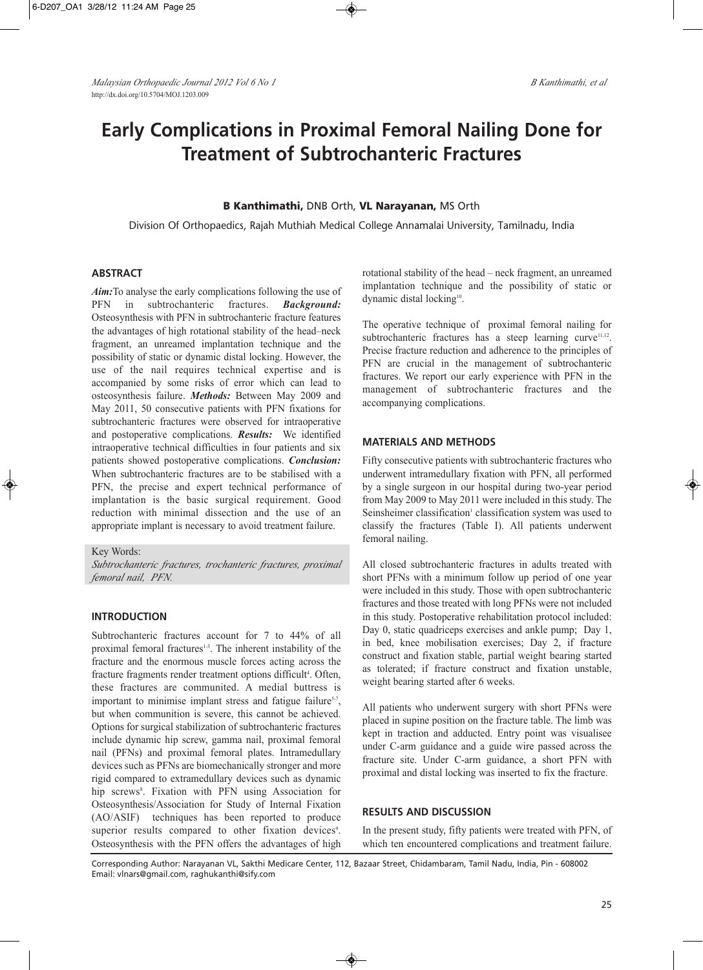# **Early Complications in Proximal Femoral Nailing Done for Treatment of Subtrochanteric Fractures**

## **B Kanthimathi,** DNB Orth, **VL Narayanan,** MS Orth

Division Of Orthopaedics, Rajah Muthiah Medical College Annamalai University, Tamilnadu, India

## **ABSTRACT**

*Aim:*To analyse the early complications following the use of PFN in subtrochanteric fractures. *Background:* Osteosynthesis with PFN in subtrochanteric fracture features the advantages of high rotational stability of the head–neck fragment, an unreamed implantation technique and the possibility of static or dynamic distal locking. However, the use of the nail requires technical expertise and is accompanied by some risks of error which can lead to osteosynthesis failure. *Methods:* Between May 2009 and May 2011, 50 consecutive patients with PFN fixations for subtrochanteric fractures were observed for intraoperative and postoperative complications. *Results:* We identified intraoperative technical difficulties in four patients and six patients showed postoperative complications. *Conclusion:* When subtrochanteric fractures are to be stabilised with a PFN, the precise and expert technical performance of implantation is the basic surgical requirement. Good reduction with minimal dissection and the use of an appropriate implant is necessary to avoid treatment failure.

Key Words:

*Subtrochanteric fractures, trochanteric fractures, proximal femoral nail, PFN.*

## **INTRODUCTION**

Subtrochanteric fractures account for 7 to 44% of all proximal femoral fractures<sup>1-3</sup>. The inherent instability of the fracture and the enormous muscle forces acting across the fracture fragments render treatment options difficult<sup>4</sup>. Often, these fractures are communited. A medial buttress is important to minimise implant stress and fatigue failure<sup>5-7</sup>, but when communition is severe, this cannot be achieved. Options for surgical stabilization of subtrochanteric fractures include dynamic hip screw, gamma nail, proximal femoral nail (PFNs) and proximal femoral plates. Intramedullary devices such as PFNs are biomechanically stronger and more rigid compared to extramedullary devices such as dynamic hip screws<sup>8</sup>. Fixation with PFN using Association for Osteosynthesis/Association for Study of Internal Fixation (AO/ASIF) techniques has been reported to produce superior results compared to other fixation devices<sup>9</sup>. Osteosynthesis with the PFN offers the advantages of high rotational stability of the head – neck fragment, an unreamed implantation technique and the possibility of static or dynamic distal locking<sup>10</sup>.

The operative technique of proximal femoral nailing for subtrochanteric fractures has a steep learning curve<sup>11,12</sup>. Precise fracture reduction and adherence to the principles of PFN are crucial in the management of subtrochanteric fractures. We report our early experience with PFN in the management of subtrochanteric fractures and the accompanying complications.

## **MATERIALS AND METHODS**

Fifty consecutive patients with subtrochanteric fractures who underwent intramedullary fixation with PFN, all performed by a single surgeon in our hospital during two-year period from May 2009 to May 2011 were included in this study. The Seinsheimer classification<sup>1</sup> classification system was used to classify the fractures (Table I). All patients underwent femoral nailing.

All closed subtrochanteric fractures in adults treated with short PFNs with a minimum follow up period of one year were included in this study. Those with open subtrochanteric fractures and those treated with long PFNs were not included in this study. Postoperative rehabilitation protocol included: Day 0, static quadriceps exercises and ankle pump; Day 1, in bed, knee mobilisation exercises; Day 2, if fracture construct and fixation stable, partial weight bearing started as tolerated; if fracture construct and fixation unstable, weight bearing started after 6 weeks.

All patients who underwent surgery with short PFNs were placed in supine position on the fracture table. The limb was kept in traction and adducted. Entry point was visualisee under C-arm guidance and a guide wire passed across the fracture site. Under C-arm guidance, a short PFN with proximal and distal locking was inserted to fix the fracture.

## **RESULTS AND DISCUSSION**

In the present study, fifty patients were treated with PFN, of which ten encountered complications and treatment failure.

Corresponding Author: Narayanan VL, Sakthi Medicare Center, 112, Bazaar Street, Chidambaram, Tamil Nadu, India, Pin - 608002 Email: vlnars@gmail.com, raghukanthi@sify.com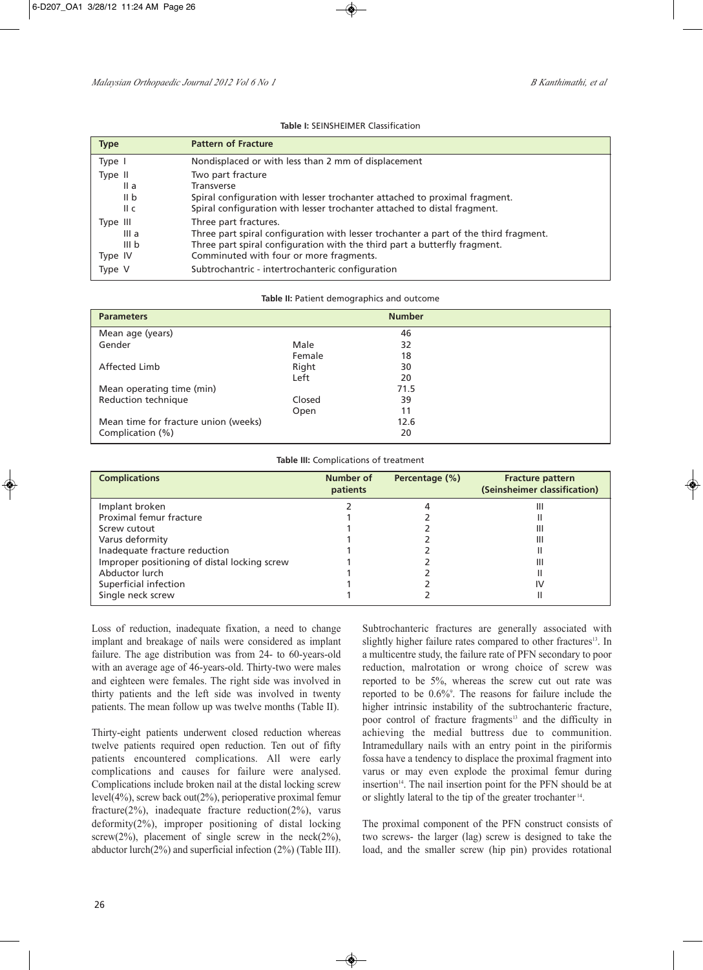#### **Table I:** SEINSHEIMER Classification

| <b>Type</b>                                      | <b>Pattern of Fracture</b>                                                                                                                                                                                                            |
|--------------------------------------------------|---------------------------------------------------------------------------------------------------------------------------------------------------------------------------------------------------------------------------------------|
| Type I                                           | Nondisplaced or with less than 2 mm of displacement                                                                                                                                                                                   |
| Type II<br>II a<br>II b<br>II c                  | Two part fracture<br><b>Transverse</b><br>Spiral configuration with lesser trochanter attached to proximal fragment.<br>Spiral configuration with lesser trochanter attached to distal fragment.                                      |
| Type III<br>III a<br>III <sub>b</sub><br>Type IV | Three part fractures.<br>Three part spiral configuration with lesser trochanter a part of the third fragment.<br>Three part spiral configuration with the third part a butterfly fragment.<br>Comminuted with four or more fragments. |
| Type V                                           | Subtrochantric - intertrochanteric configuration                                                                                                                                                                                      |

#### **Table II:** Patient demographics and outcome

| <b>Parameters</b>                    |        | <b>Number</b> |  |
|--------------------------------------|--------|---------------|--|
| Mean age (years)                     |        | 46            |  |
| Gender                               | Male   | 32            |  |
|                                      | Female | 18            |  |
| Affected Limb                        | Right  | 30            |  |
|                                      | Left   | 20            |  |
| Mean operating time (min)            |        | 71.5          |  |
| Reduction technique                  | Closed | 39            |  |
|                                      | Open   | 11            |  |
| Mean time for fracture union (weeks) |        | 12.6          |  |
| Complication (%)                     |        | 20            |  |

**Table III:** Complications of treatment

| <b>Complications</b>                         | Number of<br>patients | Percentage (%) | <b>Fracture pattern</b><br>(Seinsheimer classification) |
|----------------------------------------------|-----------------------|----------------|---------------------------------------------------------|
| Implant broken                               |                       |                | Ш                                                       |
| Proximal femur fracture                      |                       |                |                                                         |
| Screw cutout                                 |                       |                | Ш                                                       |
| Varus deformity                              |                       |                | Ш                                                       |
| Inadequate fracture reduction                |                       |                |                                                         |
| Improper positioning of distal locking screw |                       |                | Ш                                                       |
| Abductor lurch                               |                       |                |                                                         |
| Superficial infection                        |                       |                | I٧                                                      |
| Single neck screw                            |                       |                |                                                         |

Loss of reduction, inadequate fixation, a need to change implant and breakage of nails were considered as implant failure. The age distribution was from 24- to 60-years-old with an average age of 46-years-old. Thirty-two were males and eighteen were females. The right side was involved in thirty patients and the left side was involved in twenty patients. The mean follow up was twelve months (Table II).

Thirty-eight patients underwent closed reduction whereas twelve patients required open reduction. Ten out of fifty patients encountered complications. All were early complications and causes for failure were analysed. Complications include broken nail at the distal locking screw level(4%), screw back out(2%), perioperative proximal femur fracture( $2\%$ ), inadequate fracture reduction( $2\%$ ), varus deformity(2%), improper positioning of distal locking screw( $2\%$ ), placement of single screw in the neck( $2\%$ ), abductor lurch(2%) and superficial infection (2%) (Table III).

Subtrochanteric fractures are generally associated with slightly higher failure rates compared to other fractures<sup>13</sup>. In a multicentre study, the failure rate of PFN secondary to poor reduction, malrotation or wrong choice of screw was reported to be 5%, whereas the screw cut out rate was reported to be 0.6%9 . The reasons for failure include the higher intrinsic instability of the subtrochanteric fracture, poor control of fracture fragments<sup>13</sup> and the difficulty in achieving the medial buttress due to communition. Intramedullary nails with an entry point in the piriformis fossa have a tendency to displace the proximal fragment into varus or may even explode the proximal femur during insertion<sup>14</sup>. The nail insertion point for the PFN should be at or slightly lateral to the tip of the greater trochanter <sup>14</sup> .

The proximal component of the PFN construct consists of two screws- the larger (lag) screw is designed to take the load, and the smaller screw (hip pin) provides rotational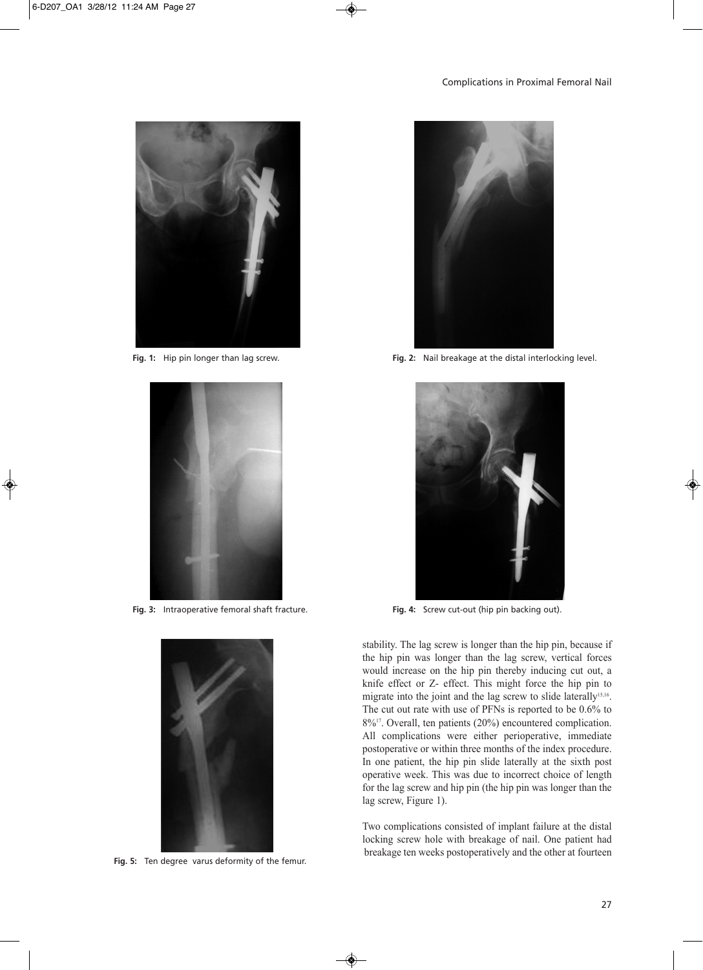



**Fig. 3:** Intraoperative femoral shaft fracture.



**Fig. 5:** Ten degree varus deformity of the femur.



**Fig. 1:** Hip pin longer than lag screw. **Fig. 2:** Nail breakage at the distal interlocking level.



**Fig. 4:** Screw cut-out (hip pin backing out).

stability. The lag screw is longer than the hip pin, because if the hip pin was longer than the lag screw, vertical forces would increase on the hip pin thereby inducing cut out, a knife effect or Z- effect. This might force the hip pin to migrate into the joint and the lag screw to slide laterally<sup>15,16</sup>. The cut out rate with use of PFNs is reported to be 0.6% to 8%17 . Overall, ten patients (20%) encountered complication. All complications were either perioperative, immediate postoperative or within three months of the index procedure. In one patient, the hip pin slide laterally at the sixth post operative week. This was due to incorrect choice of length for the lag screw and hip pin (the hip pin was longer than the lag screw, Figure 1).

Two complications consisted of implant failure at the distal locking screw hole with breakage of nail. One patient had breakage ten weeks postoperatively and the other at fourteen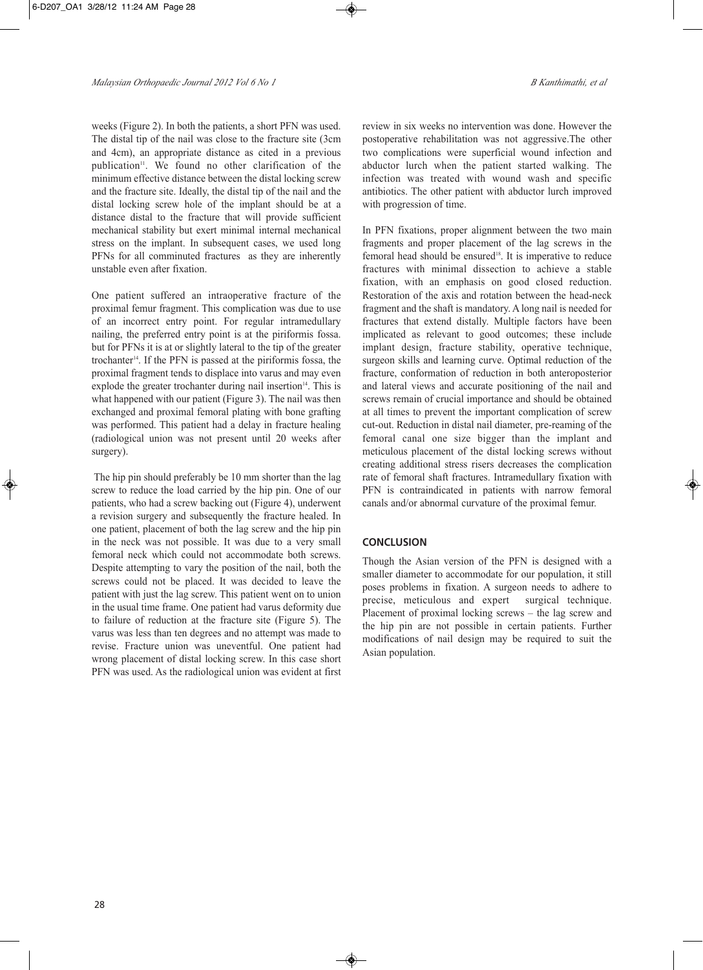weeks (Figure 2). In both the patients, a short PFN was used. The distal tip of the nail was close to the fracture site (3cm and 4cm), an appropriate distance as cited in a previous publication<sup>11</sup>. We found no other clarification of the minimum effective distance between the distal locking screw and the fracture site. Ideally, the distal tip of the nail and the distal locking screw hole of the implant should be at a distance distal to the fracture that will provide sufficient mechanical stability but exert minimal internal mechanical stress on the implant. In subsequent cases, we used long PFNs for all comminuted fractures as they are inherently unstable even after fixation.

One patient suffered an intraoperative fracture of the proximal femur fragment. This complication was due to use of an incorrect entry point. For regular intramedullary nailing, the preferred entry point is at the piriformis fossa. but for PFNs it is at or slightly lateral to the tip of the greater trochanter 14 . If the PFN is passed at the piriformis fossa, the proximal fragment tends to displace into varus and may even explode the greater trochanter during nail insertion<sup>14</sup>. This is what happened with our patient (Figure 3). The nail was then exchanged and proximal femoral plating with bone grafting was performed. This patient had a delay in fracture healing (radiological union was not present until 20 weeks after surgery).

The hip pin should preferably be 10 mm shorter than the lag screw to reduce the load carried by the hip pin. One of our patients, who had a screw backing out (Figure 4), underwent a revision surgery and subsequently the fracture healed. In one patient, placement of both the lag screw and the hip pin in the neck was not possible. It was due to a very small femoral neck which could not accommodate both screws. Despite attempting to vary the position of the nail, both the screws could not be placed. It was decided to leave the patient with just the lag screw. This patient went on to union in the usual time frame. One patient had varus deformity due to failure of reduction at the fracture site (Figure 5). The varus was less than ten degrees and no attempt was made to revise. Fracture union was uneventful. One patient had wrong placement of distal locking screw. In this case short PFN was used. As the radiological union was evident at first review in six weeks no intervention was done. However the postoperative rehabilitation was not aggressive.The other two complications were superficial wound infection and abductor lurch when the patient started walking. The infection was treated with wound wash and specific antibiotics. The other patient with abductor lurch improved with progression of time.

In PFN fixations, proper alignment between the two main fragments and proper placement of the lag screws in the femoral head should be ensured<sup>18</sup>. It is imperative to reduce fractures with minimal dissection to achieve a stable fixation, with an emphasis on good closed reduction. Restoration of the axis and rotation between the head-neck fragment and the shaft is mandatory. A long nail is needed for fractures that extend distally. Multiple factors have been implicated as relevant to good outcomes; these include implant design, fracture stability, operative technique, surgeon skills and learning curve. Optimal reduction of the fracture, conformation of reduction in both anteroposterior and lateral views and accurate positioning of the nail and screws remain of crucial importance and should be obtained at all times to prevent the important complication of screw cut-out. Reduction in distal nail diameter, pre-reaming of the femoral canal one size bigger than the implant and meticulous placement of the distal locking screws without creating additional stress risers decreases the complication rate of femoral shaft fractures. Intramedullary fixation with PFN is contraindicated in patients with narrow femoral canals and/or abnormal curvature of the proximal femur.

# **CONCLUSION**

Though the Asian version of the PFN is designed with a smaller diameter to accommodate for our population, it still poses problems in fixation. A surgeon needs to adhere to precise, meticulous and expert surgical technique. Placement of proximal locking screws – the lag screw and the hip pin are not possible in certain patients. Further modifications of nail design may be required to suit the Asian population.